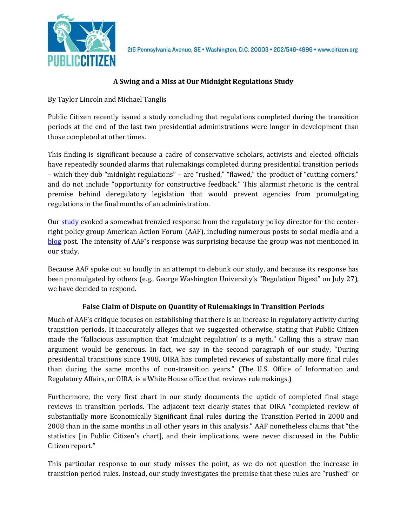

# **A Swing and a Miss at Our Midnight Regulations Study**

By Taylor Lincoln and Michael Tanglis

Public Citizen recently issued a study concluding that regulations completed during the transition periods at the end of the last two presidential administrations were longer in development than those completed at other times.

This finding is significant because a cadre of conservative scholars, activists and elected officials have repeatedly sounded alarms that rulemakings completed during presidential transition periods – which they dub "midnight regulations" – are "rushed," "flawed," the product of "cutting corners," and do not include "opportunity for constructive feedback." This alarmist rhetoric is the central premise behind deregulatory legislation that would prevent agencies from promulgating regulations in the final months of an administration.

Our [study](http://citizen.org/documents/Midnight-Regs-Myth.pdf) evoked a somewhat frenzied response from the regulatory policy director for the centerright policy group American Action Forum (AAF), including numerous posts to social media and a [blog](https://www.americanactionforum.org/insight/midnight-regulation-shame-public-citizen/) post. The intensity of AAF's response was surprising because the group was not mentioned in our study.

Because AAF spoke out so loudly in an attempt to debunk our study, and because its response has been promulgated by others (e.g., George Washington University's "Regulation Digest" on July 27), we have decided to respond.

## **False Claim of Dispute on Quantity of Rulemakings in Transition Periods**

Much of AAF's critique focuses on establishing that there is an increase in regulatory activity during transition periods. It inaccurately alleges that we suggested otherwise, stating that Public Citizen made the "fallacious assumption that 'midnight regulation' is a myth." Calling this a straw man argument would be generous. In fact, we say in the second paragraph of our study, "During presidential transitions since 1988, OIRA has completed reviews of substantially more final rules than during the same months of non-transition years." (The U.S. Office of Information and Regulatory Affairs, or OIRA, is a White House office that reviews rulemakings.)

Furthermore, the very first chart in our study documents the uptick of completed final stage reviews in transition periods. The adjacent text clearly states that OIRA "completed review of substantially more Economically Significant final rules during the Transition Period in 2000 and 2008 than in the same months in all other years in this analysis." AAF nonetheless claims that "the statistics [in Public Citizen's chart], and their implications, were never discussed in the Public Citizen report."

This particular response to our study misses the point, as we do not question the increase in transition period rules. Instead, our study investigates the premise that these rules are "rushed" or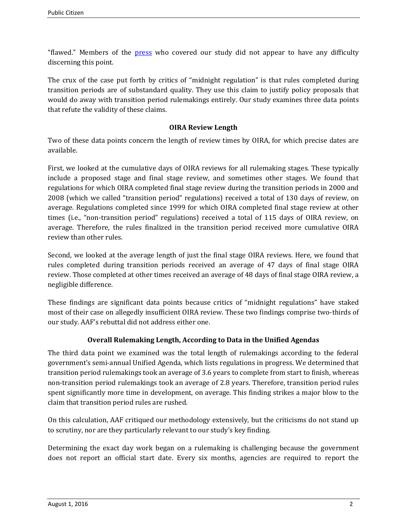"flawed." Members of the [press](http://www.bna.com/groups-agree-existence-n73014444965/) who covered our study did not appear to have any difficulty discerning this point.

The crux of the case put forth by critics of "midnight regulation" is that rules completed during transition periods are of substandard quality. They use this claim to justify policy proposals that would do away with transition period rulemakings entirely. Our study examines three data points that refute the validity of these claims.

### **OIRA Review Length**

Two of these data points concern the length of review times by OIRA, for which precise dates are available.

First, we looked at the cumulative days of OIRA reviews for all rulemaking stages. These typically include a proposed stage and final stage review, and sometimes other stages. We found that regulations for which OIRA completed final stage review during the transition periods in 2000 and 2008 (which we called "transition period" regulations) received a total of 130 days of review, on average. Regulations completed since 1999 for which OIRA completed final stage review at other times (i.e., "non-transition period" regulations) received a total of 115 days of OIRA review, on average. Therefore, the rules finalized in the transition period received more cumulative OIRA review than other rules.

Second, we looked at the average length of just the final stage OIRA reviews. Here, we found that rules completed during transition periods received an average of 47 days of final stage OIRA review. Those completed at other times received an average of 48 days of final stage OIRA review, a negligible difference.

These findings are significant data points because critics of "midnight regulations" have staked most of their case on allegedly insufficient OIRA review. These two findings comprise two-thirds of our study. AAF's rebuttal did not address either one.

## **Overall Rulemaking Length, According to Data in the Unified Agendas**

The third data point we examined was the total length of rulemakings according to the federal government's semi-annual Unified Agenda, which lists regulations in progress. We determined that transition period rulemakings took an average of 3.6 years to complete from start to finish, whereas non-transition period rulemakings took an average of 2.8 years. Therefore, transition period rules spent significantly more time in development, on average. This finding strikes a major blow to the claim that transition period rules are rushed.

On this calculation, AAF critiqued our methodology extensively, but the criticisms do not stand up to scrutiny, nor are they particularly relevant to our study's key finding.

Determining the exact day work began on a rulemaking is challenging because the government does not report an official start date. Every six months, agencies are required to report the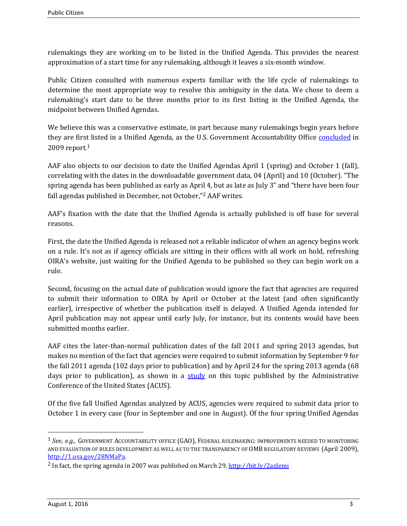rulemakings they are working on to be listed in the Unified Agenda. This provides the nearest approximation of a start time for any rulemaking, although it leaves a six-month window.

Public Citizen consulted with numerous experts familiar with the life cycle of rulemakings to determine the most appropriate way to resolve this ambiguity in the data. We chose to deem a rulemaking's start date to be three months prior to its first listing in the Unified Agenda, the midpoint between Unified Agendas.

We believe this was a conservative estimate, in part because many rulemakings begin years before they are first listed in a Unified Agenda, as the U.S. Government Accountability Office [concluded](http://www.gao.gov/assets/290/288538.pdf) in 2009 report.<sup>1</sup>

AAF also objects to our decision to date the Unified Agendas April 1 (spring) and October 1 (fall), correlating with the dates in the downloadable government data, 04 (April) and 10 (October). "The spring agenda has been published as early as April 4, but as late as July 3" and "there have been four fall agendas published in December, not October,"<sup>2</sup> AAF writes.

AAF's fixation with the date that the Unified Agenda is actually published is off base for several reasons.

First, the date the Unified Agenda is released not a reliable indicator of when an agency begins work on a rule. It's not as if agency officials are sitting in their offices with all work on hold, refreshing OIRA's website, just waiting for the Unified Agenda to be published so they can begin work on a rule.

Second, focusing on the actual date of publication would ignore the fact that agencies are required to submit their information to OIRA by April or October at the latest (and often significantly earlier), irrespective of whether the publication itself is delayed. A Unified Agenda intended for April publication may not appear until early July, for instance, but its contents would have been submitted months earlier.

AAF cites the later-than-normal publication dates of the fall 2011 and spring 2013 agendas, but makes no mention of the fact that agencies were required to submit information by September 9 for the fall 2011 agenda (102 days prior to publication) and by April 24 for the spring 2013 agenda (68 days prior to publication), as shown in a [study](https://www.acus.gov/sites/default/files/documents/Unified%20Agenda%20Report%20031015.pdf) on this topic published by the Administrative Conference of the United States (ACUS).

Of the five fall Unified Agendas analyzed by ACUS, agencies were required to submit data prior to October 1 in every case (four in September and one in August). Of the four spring Unified Agendas

l

<sup>1</sup> *See*, *e.g.*, GOVERNMENT ACCOUNTABILITY OFFICE (GAO), FEDERAL RULEMAKING: IMPROVEMENTS NEEDED TO MONITORING AND EVALUATION OF RULES DEVELOPMENT AS WELL AS TO THE TRANSPARENCY OF OMB REGULATORY REVIEWS (April 2009), [http://1.usa.gov/28NMaPa.](http://1.usa.gov/28NMaPa)

<sup>&</sup>lt;sup>2</sup> In fact, the spring agenda in 2007 was published on March 29.<http://bit.ly/2azIemi>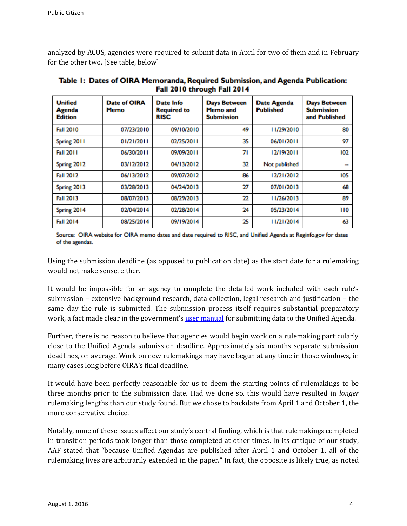analyzed by ACUS, agencies were required to submit data in April for two of them and in February for the other two. [See table, below]

| <b>Unified</b><br>Agenda<br><b>Edition</b> | <b>Date of OIRA</b><br><b>Memo</b> | Date Info<br><b>Required to</b><br><b>RISC</b> | <b>Days Between</b><br>Memo and<br><b>Submission</b> | <b>Date Agenda</b><br><b>Published</b> | <b>Days Between</b><br><b>Submission</b><br>and Published |
|--------------------------------------------|------------------------------------|------------------------------------------------|------------------------------------------------------|----------------------------------------|-----------------------------------------------------------|
| <b>Fall 2010</b>                           | 07/23/2010                         | 09/10/2010                                     | 49                                                   | 11/29/2010                             | 80                                                        |
| Spring 2011                                | 01/21/2011                         | 02/25/2011                                     | 35                                                   | 06/01/2011                             | 97                                                        |
| <b>Fall 2011</b>                           | 06/30/2011                         | 09/09/2011                                     | 71                                                   | 12/19/2011                             | 102                                                       |
| Spring 2012                                | 03/12/2012                         | 04/13/2012                                     | 32                                                   | Not published                          | --                                                        |
| <b>Fall 2012</b>                           | 06/13/2012                         | 09/07/2012                                     | 86                                                   | 12/21/2012                             | 105                                                       |
| Spring 2013                                | 03/28/2013                         | 04/24/2013                                     | 27                                                   | 07/01/2013                             | 68                                                        |
| <b>Fall 2013</b>                           | 08/07/2013                         | 08/29/2013                                     | 22                                                   | 11/26/2013                             | 89                                                        |
| Spring 2014                                | 02/04/2014                         | 02/28/2014                                     | 24                                                   | 05/23/2014                             | 110                                                       |
| <b>Fall 2014</b>                           | 08/25/2014                         | 09/19/2014                                     | 25                                                   | 11/21/2014                             | 63                                                        |

Table 1: Dates of OIRA Memoranda, Required Submission, and Agenda Publication: Fall 2010 through Fall 2014

Source: OIRA website for OIRA memo dates and date required to RISC, and Unified Agenda at Reginfo.gov for dates of the agendas.

Using the submission deadline (as opposed to publication date) as the start date for a rulemaking would not make sense, either.

It would be impossible for an agency to complete the detailed work included with each rule's submission – extensive background research, data collection, legal research and justification – the same day the rule is submitted. The submission process itself requires substantial preparatory work, a fact made clear in the government's [user manual](https://www.rocis.gov/rocis/jsp3/common/ROCIS_How_to_Guide_for_Agenda_Users_091815.pdf) for submitting data to the Unified Agenda.

Further, there is no reason to believe that agencies would begin work on a rulemaking particularly close to the Unified Agenda submission deadline. Approximately six months separate submission deadlines, on average. Work on new rulemakings may have begun at any time in those windows, in many cases long before OIRA's final deadline.

It would have been perfectly reasonable for us to deem the starting points of rulemakings to be three months prior to the submission date. Had we done so, this would have resulted in *longer* rulemaking lengths than our study found. But we chose to backdate from April 1 and October 1, the more conservative choice.

Notably, none of these issues affect our study's central finding, which is that rulemakings completed in transition periods took longer than those completed at other times. In its critique of our study, AAF stated that "because Unified Agendas are published after April 1 and October 1, all of the rulemaking lives are arbitrarily extended in the paper." In fact, the opposite is likely true, as noted